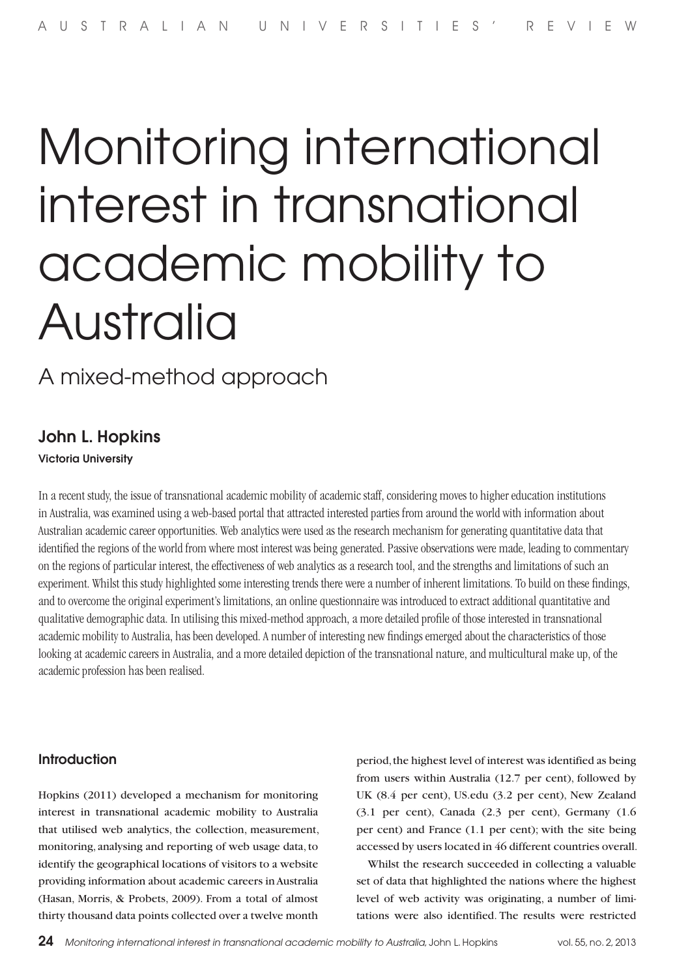# Monitoring international interest in transnational academic mobility to Australia

A mixed-method approach

## John L. Hopkins

## Victoria University

In a recent study, the issue of transnational academic mobility of academic staff, considering moves to higher education institutions in Australia, was examined using a web-based portal that attracted interested parties from around the world with information about Australian academic career opportunities. Web analytics were used as the research mechanism for generating quantitative data that identified the regions of the world from where most interest was being generated. Passive observations were made, leading to commentary on the regions of particular interest, the effectiveness of web analytics as a research tool, and the strengths and limitations of such an experiment. Whilst this study highlighted some interesting trends there were a number of inherent limitations. To build on these findings, and to overcome the original experiment's limitations, an online questionnaire was introduced to extract additional quantitative and qualitative demographic data. In utilising this mixed-method approach, a more detailed profile of those interested in transnational academic mobility to Australia, has been developed. A number of interesting new findings emerged about the characteristics of those looking at academic careers in Australia, and a more detailed depiction of the transnational nature, and multicultural make up, of the academic profession has been realised.

## Introduction

Hopkins (2011) developed a mechanism for monitoring interest in transnational academic mobility to Australia that utilised web analytics, the collection, measurement, monitoring, analysing and reporting of web usage data, to identify the geographical locations of visitors to a website providing information about academic careers in Australia (Hasan, Morris, & Probets, 2009). From a total of almost thirty thousand data points collected over a twelve month

period, the highest level of interest was identified as being from users within Australia (12.7 per cent), followed by UK (8.4 per cent), US.edu (3.2 per cent), New Zealand (3.1 per cent), Canada (2.3 per cent), Germany (1.6 per cent) and France (1.1 per cent); with the site being accessed by users located in 46 different countries overall.

Whilst the research succeeded in collecting a valuable set of data that highlighted the nations where the highest level of web activity was originating, a number of limitations were also identified. The results were restricted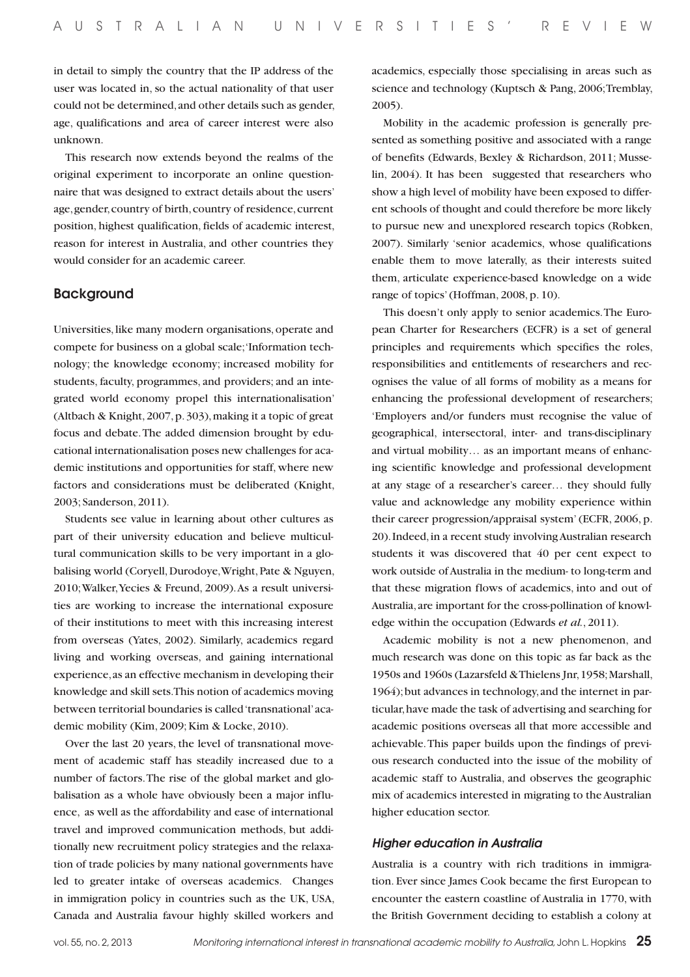in detail to simply the country that the IP address of the user was located in, so the actual nationality of that user could not be determined, and other details such as gender, age, qualifications and area of career interest were also unknown.

This research now extends beyond the realms of the original experiment to incorporate an online questionnaire that was designed to extract details about the users' age, gender, country of birth, country of residence, current position, highest qualification, fields of academic interest, reason for interest in Australia, and other countries they would consider for an academic career.

## Background

Universities, like many modern organisations, operate and compete for business on a global scale; 'Information technology; the knowledge economy; increased mobility for students, faculty, programmes, and providers; and an integrated world economy propel this internationalisation' (Altbach & Knight, 2007, p. 303), making it a topic of great focus and debate. The added dimension brought by educational internationalisation poses new challenges for academic institutions and opportunities for staff, where new factors and considerations must be deliberated (Knight, 2003; Sanderson, 2011).

Students see value in learning about other cultures as part of their university education and believe multicultural communication skills to be very important in a globalising world (Coryell, Durodoye, Wright, Pate & Nguyen, 2010; Walker, Yecies & Freund, 2009). As a result universities are working to increase the international exposure of their institutions to meet with this increasing interest from overseas (Yates, 2002). Similarly, academics regard living and working overseas, and gaining international experience, as an effective mechanism in developing their knowledge and skill sets. This notion of academics moving between territorial boundaries is called 'transnational' academic mobility (Kim, 2009; Kim & Locke, 2010).

Over the last 20 years, the level of transnational movement of academic staff has steadily increased due to a number of factors. The rise of the global market and globalisation as a whole have obviously been a major influence, as well as the affordability and ease of international travel and improved communication methods, but additionally new recruitment policy strategies and the relaxation of trade policies by many national governments have led to greater intake of overseas academics. Changes in immigration policy in countries such as the UK, USA, Canada and Australia favour highly skilled workers and

academics, especially those specialising in areas such as science and technology (Kuptsch & Pang, 2006; Tremblay, 2005).

Mobility in the academic profession is generally presented as something positive and associated with a range of benefits (Edwards, Bexley & Richardson, 2011; Musselin, 2004). It has been suggested that researchers who show a high level of mobility have been exposed to different schools of thought and could therefore be more likely to pursue new and unexplored research topics (Robken, 2007). Similarly 'senior academics, whose qualifications enable them to move laterally, as their interests suited them, articulate experience-based knowledge on a wide range of topics' (Hoffman, 2008, p. 10).

This doesn't only apply to senior academics. The European Charter for Researchers (ECFR) is a set of general principles and requirements which specifies the roles, responsibilities and entitlements of researchers and recognises the value of all forms of mobility as a means for enhancing the professional development of researchers; 'Employers and/or funders must recognise the value of geographical, intersectoral, inter- and trans-disciplinary and virtual mobility… as an important means of enhancing scientific knowledge and professional development at any stage of a researcher's career… they should fully value and acknowledge any mobility experience within their career progression/appraisal system' (ECFR, 2006, p. 20). Indeed, in a recent study involving Australian research students it was discovered that 40 per cent expect to work outside of Australia in the medium- to long-term and that these migration flows of academics, into and out of Australia, are important for the cross-pollination of knowledge within the occupation (Edwards *et al.*, 2011).

Academic mobility is not a new phenomenon, and much research was done on this topic as far back as the 1950s and 1960s (Lazarsfeld & Thielens Jnr, 1958; Marshall, 1964); but advances in technology, and the internet in particular, have made the task of advertising and searching for academic positions overseas all that more accessible and achievable. This paper builds upon the findings of previous research conducted into the issue of the mobility of academic staff to Australia, and observes the geographic mix of academics interested in migrating to the Australian higher education sector.

#### *Higher education in Australia*

Australia is a country with rich traditions in immigration. Ever since James Cook became the first European to encounter the eastern coastline of Australia in 1770, with the British Government deciding to establish a colony at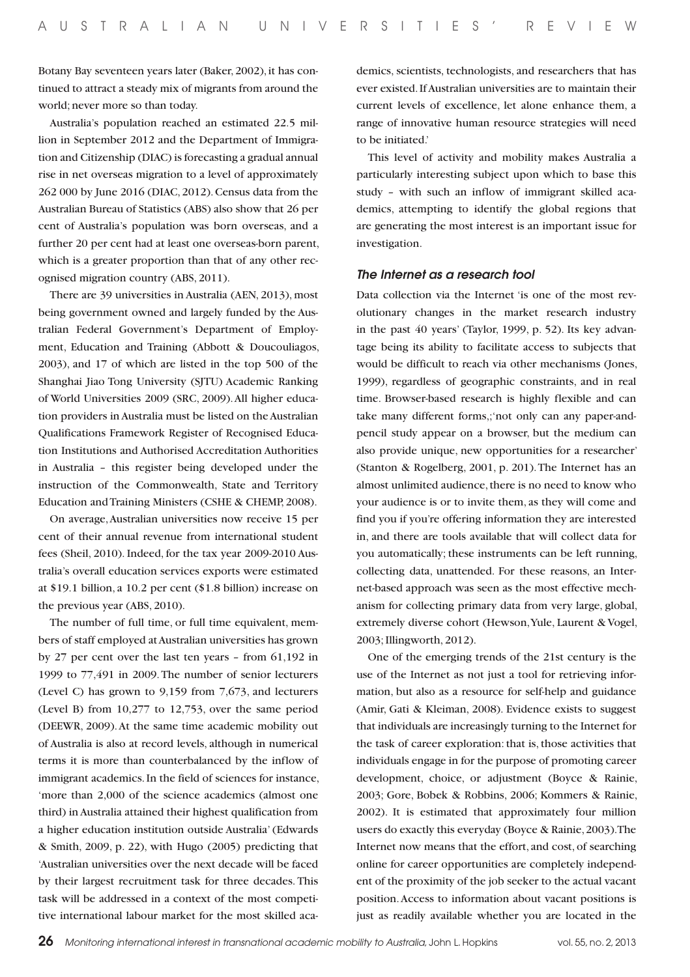Botany Bay seventeen years later (Baker, 2002), it has continued to attract a steady mix of migrants from around the world; never more so than today.

Australia's population reached an estimated 22.5 million in September 2012 and the Department of Immigration and Citizenship (DIAC) is forecasting a gradual annual rise in net overseas migration to a level of approximately 262 000 by June 2016 (DIAC, 2012). Census data from the Australian Bureau of Statistics (ABS) also show that 26 per cent of Australia's population was born overseas, and a further 20 per cent had at least one overseas-born parent, which is a greater proportion than that of any other recognised migration country (ABS, 2011).

There are 39 universities in Australia (AEN, 2013), most being government owned and largely funded by the Australian Federal Government's Department of Employment, Education and Training (Abbott & Doucouliagos, 2003), and 17 of which are listed in the top 500 of the Shanghai Jiao Tong University (SJTU) Academic Ranking of World Universities 2009 (SRC, 2009). All higher education providers in Australia must be listed on the Australian Qualifications Framework Register of Recognised Education Institutions and Authorised Accreditation Authorities in Australia – this register being developed under the instruction of the Commonwealth, State and Territory Education and Training Ministers (CSHE & CHEMP, 2008).

On average, Australian universities now receive 15 per cent of their annual revenue from international student fees (Sheil, 2010). Indeed, for the tax year 2009-2010 Australia's overall education services exports were estimated at \$19.1 billion, a 10.2 per cent (\$1.8 billion) increase on the previous year (ABS, 2010).

The number of full time, or full time equivalent, members of staff employed at Australian universities has grown by 27 per cent over the last ten years – from 61,192 in 1999 to 77,491 in 2009. The number of senior lecturers (Level C) has grown to 9,159 from 7,673, and lecturers (Level B) from 10,277 to 12,753, over the same period (DEEWR, 2009). At the same time academic mobility out of Australia is also at record levels, although in numerical terms it is more than counterbalanced by the inflow of immigrant academics. In the field of sciences for instance, 'more than 2,000 of the science academics (almost one third) in Australia attained their highest qualification from a higher education institution outside Australia' (Edwards & Smith, 2009, p. 22), with Hugo (2005) predicting that 'Australian universities over the next decade will be faced by their largest recruitment task for three decades. This task will be addressed in a context of the most competitive international labour market for the most skilled academics, scientists, technologists, and researchers that has ever existed. If Australian universities are to maintain their current levels of excellence, let alone enhance them, a range of innovative human resource strategies will need to be initiated.'

This level of activity and mobility makes Australia a particularly interesting subject upon which to base this study – with such an inflow of immigrant skilled academics, attempting to identify the global regions that are generating the most interest is an important issue for investigation.

#### *The Internet as a research tool*

Data collection via the Internet 'is one of the most revolutionary changes in the market research industry in the past 40 years' (Taylor, 1999, p. 52). Its key advantage being its ability to facilitate access to subjects that would be difficult to reach via other mechanisms (Jones, 1999), regardless of geographic constraints, and in real time. Browser-based research is highly flexible and can take many different forms,;'not only can any paper-andpencil study appear on a browser, but the medium can also provide unique, new opportunities for a researcher' (Stanton & Rogelberg, 2001, p. 201). The Internet has an almost unlimited audience, there is no need to know who your audience is or to invite them, as they will come and find you if you're offering information they are interested in, and there are tools available that will collect data for you automatically; these instruments can be left running, collecting data, unattended. For these reasons, an Internet-based approach was seen as the most effective mechanism for collecting primary data from very large, global, extremely diverse cohort (Hewson, Yule, Laurent & Vogel, 2003; Illingworth, 2012).

One of the emerging trends of the 21st century is the use of the Internet as not just a tool for retrieving information, but also as a resource for self-help and guidance (Amir, Gati & Kleiman, 2008). Evidence exists to suggest that individuals are increasingly turning to the Internet for the task of career exploration: that is, those activities that individuals engage in for the purpose of promoting career development, choice, or adjustment (Boyce & Rainie, 2003; Gore, Bobek & Robbins, 2006; Kommers & Rainie, 2002). It is estimated that approximately four million users do exactly this everyday (Boyce & Rainie, 2003). The Internet now means that the effort, and cost, of searching online for career opportunities are completely independent of the proximity of the job seeker to the actual vacant position. Access to information about vacant positions is just as readily available whether you are located in the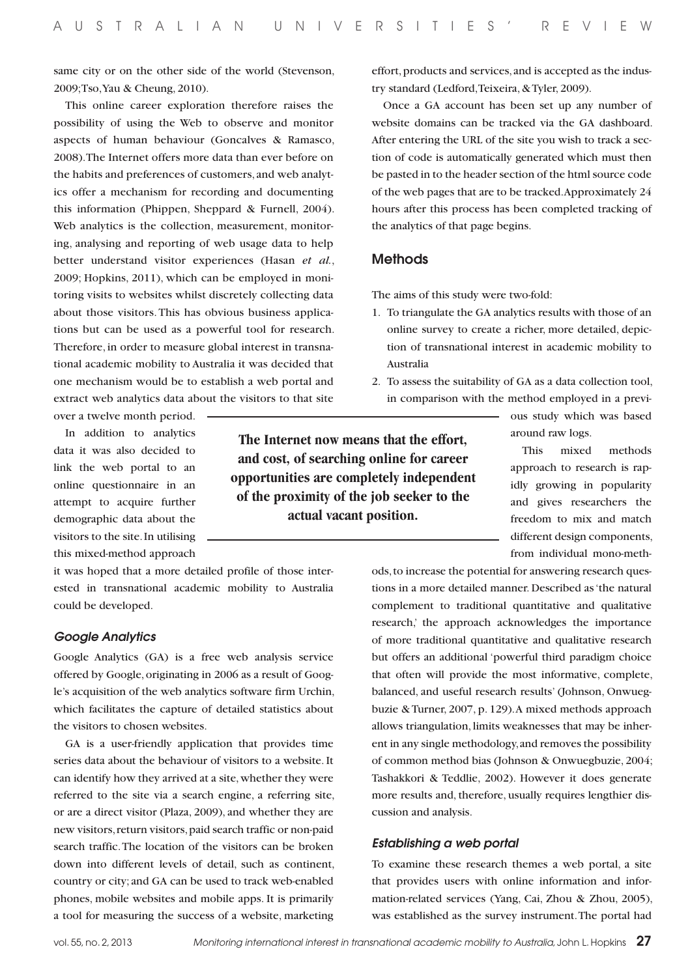same city or on the other side of the world (Stevenson, 2009; Tso, Yau & Cheung, 2010).

This online career exploration therefore raises the possibility of using the Web to observe and monitor aspects of human behaviour (Goncalves & Ramasco, 2008). The Internet offers more data than ever before on the habits and preferences of customers, and web analytics offer a mechanism for recording and documenting this information (Phippen, Sheppard & Furnell, 2004). Web analytics is the collection, measurement, monitoring, analysing and reporting of web usage data to help better understand visitor experiences (Hasan *et al.*, 2009; Hopkins, 2011), which can be employed in monitoring visits to websites whilst discretely collecting data about those visitors. This has obvious business applications but can be used as a powerful tool for research. Therefore, in order to measure global interest in transnational academic mobility to Australia it was decided that one mechanism would be to establish a web portal and extract web analytics data about the visitors to that site

over a twelve month period.

In addition to analytics data it was also decided to link the web portal to an online questionnaire in an attempt to acquire further demographic data about the visitors to the site. In utilising this mixed-method approach

it was hoped that a more detailed profile of those interested in transnational academic mobility to Australia could be developed.

#### *Google Analytics*

Google Analytics (GA) is a free web analysis service offered by Google, originating in 2006 as a result of Google's acquisition of the web analytics software firm Urchin, which facilitates the capture of detailed statistics about the visitors to chosen websites.

GA is a user-friendly application that provides time series data about the behaviour of visitors to a website. It can identify how they arrived at a site, whether they were referred to the site via a search engine, a referring site, or are a direct visitor (Plaza, 2009), and whether they are new visitors, return visitors, paid search traffic or non-paid search traffic. The location of the visitors can be broken down into different levels of detail, such as continent, country or city; and GA can be used to track web-enabled phones, mobile websites and mobile apps. It is primarily a tool for measuring the success of a website, marketing

effort, products and services, and is accepted as the industry standard (Ledford, Teixeira, & Tyler, 2009).

Once a GA account has been set up any number of website domains can be tracked via the GA dashboard. After entering the URL of the site you wish to track a section of code is automatically generated which must then be pasted in to the header section of the html source code of the web pages that are to be tracked. Approximately 24 hours after this process has been completed tracking of the analytics of that page begins.

#### **Methods**

The aims of this study were two-fold:

- 1. To triangulate the GA analytics results with those of an online survey to create a richer, more detailed, depiction of transnational interest in academic mobility to Australia
- 2. To assess the suitability of GA as a data collection tool, in comparison with the method employed in a previ-

ous study which was based around raw logs.

This mixed methods approach to research is rapidly growing in popularity and gives researchers the freedom to mix and match different design components, from individual mono-meth-

ods, to increase the potential for answering research questions in a more detailed manner. Described as 'the natural complement to traditional quantitative and qualitative research,' the approach acknowledges the importance of more traditional quantitative and qualitative research but offers an additional 'powerful third paradigm choice that often will provide the most informative, complete, balanced, and useful research results' (Johnson, Onwuegbuzie & Turner, 2007, p. 129). A mixed methods approach allows triangulation, limits weaknesses that may be inherent in any single methodology, and removes the possibility of common method bias (Johnson & Onwuegbuzie, 2004; Tashakkori & Teddlie, 2002). However it does generate more results and, therefore, usually requires lengthier discussion and analysis.

#### *Establishing a web portal*

To examine these research themes a web portal, a site that provides users with online information and information-related services (Yang, Cai, Zhou & Zhou, 2005), was established as the survey instrument. The portal had

**The Internet now means that the effort, and cost, of searching online for career opportunities are completely independent of the proximity of the job seeker to the actual vacant position.**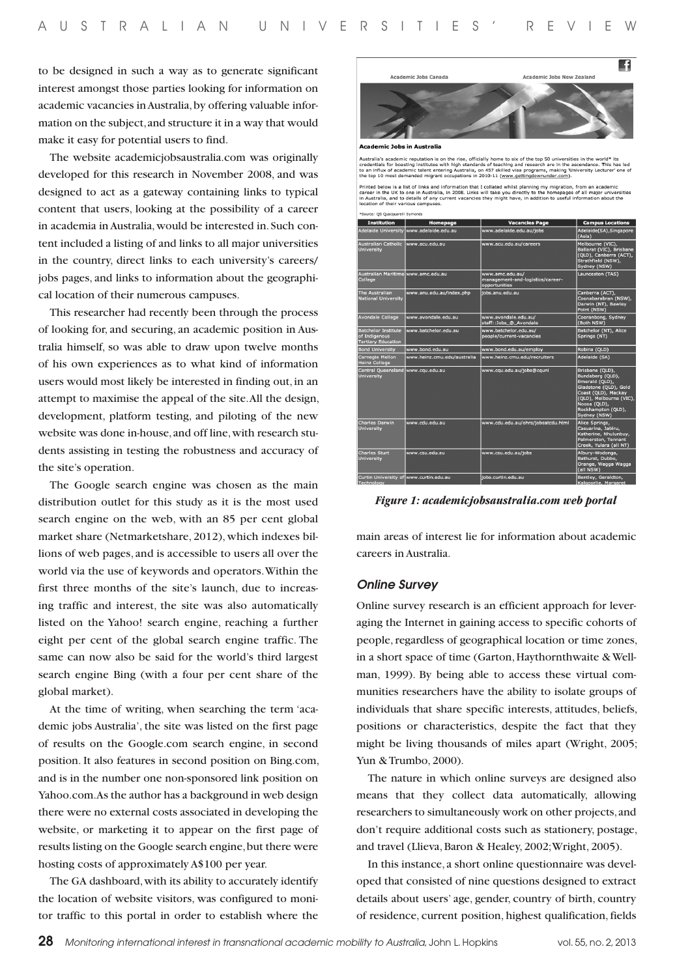to be designed in such a way as to generate significant interest amongst those parties looking for information on academic vacancies in Australia, by offering valuable information on the subject, and structure it in a way that would make it easy for potential users to find.

The website academicjobsaustralia.com was originally developed for this research in November 2008, and was designed to act as a gateway containing links to typical content that users, looking at the possibility of a career in academia in Australia, would be interested in. Such content included a listing of and links to all major universities in the country, direct links to each university's careers/ jobs pages, and links to information about the geographical location of their numerous campuses.

This researcher had recently been through the process of looking for, and securing, an academic position in Australia himself, so was able to draw upon twelve months of his own experiences as to what kind of information users would most likely be interested in finding out, in an attempt to maximise the appeal of the site. All the design, development, platform testing, and piloting of the new website was done in-house, and off line, with research students assisting in testing the robustness and accuracy of the site's operation.

The Google search engine was chosen as the main distribution outlet for this study as it is the most used search engine on the web, with an 85 per cent global market share (Netmarketshare, 2012), which indexes billions of web pages, and is accessible to users all over the world via the use of keywords and operators. Within the first three months of the site's launch, due to increasing traffic and interest, the site was also automatically listed on the Yahoo! search engine, reaching a further eight per cent of the global search engine traffic. The same can now also be said for the world's third largest search engine Bing (with a four per cent share of the global market).

At the time of writing, when searching the term 'academic jobs Australia', the site was listed on the first page of results on the Google.com search engine, in second position. It also features in second position on Bing.com, and is in the number one non-sponsored link position on Yahoo.com. As the author has a background in web design there were no external costs associated in developing the website, or marketing it to appear on the first page of results listing on the Google search engine, but there were hosting costs of approximately A\$100 per year.

The GA dashboard, with its ability to accurately identify the location of website visitors, was configured to monitor traffic to this portal in order to establish where the



demic Jobs in Australia

Australia's academic reputation is on the rise, officially home to six of the top 50 universities in the world\* its<br>credentials for boasting institutes with high standards of teaching and research are in the ascendance. Th

Printed below is a list of links and information that I collated whilst daming my mipration. From an acedemic<br>Career in the UK to one in Australia, in 2008. Unks will take you directly to the homepages of all major univer<br> \*Source: OS Quacquarelli Symond

| <b>Institution</b>                                                       | Homepage                                | <b>Vacancies Page</b>                                                | <b>Campus Locations</b>                                                                                                                                                                |  |
|--------------------------------------------------------------------------|-----------------------------------------|----------------------------------------------------------------------|----------------------------------------------------------------------------------------------------------------------------------------------------------------------------------------|--|
|                                                                          | Adelaide University www.adelaide.edu.au | www.adelaide.edu.au/iobs                                             | Adelaide(SA), Singapore<br>(Asia)                                                                                                                                                      |  |
| <b>Australian Catholic</b><br><b>University</b>                          | www.acu.edu.au                          | www.acu.edu.au/careers                                               | Melbourne (VIC),<br>Ballarat (VIC), Brisbane<br>(QLD), Canberra (ACT),<br>Strathfield (NSW),<br>Sydney (NSW)                                                                           |  |
| Australian Maritime www.amc.edu.au<br>College                            |                                         | www.amc.edu.au/<br>management-and-logistics/career-<br>opportunities | Launceston (TAS)                                                                                                                                                                       |  |
| <b>The Australian</b><br><b>National University</b>                      | www.anu.edu.au/index.php                | tobs.anu.edu.au                                                      | Canberra (ACT).<br>Coonabarabran (NSW),<br>Darwin (NT), Bawley<br>Point (NSW)                                                                                                          |  |
| <b>Avondale College</b>                                                  | www.avondale.edu.au                     | www.avondale.edu.au/<br>staff::Jobs @ Avondale                       | Cooranbong, Sydney<br>(Both NSW)                                                                                                                                                       |  |
| <b>Batchelor Institute</b><br>of Indigenous<br><b>Tertiary Education</b> | www.batchelor.edu.au                    | www.batchelor.edu.au/<br>people/current-vacancies                    | Batchelor (NT), Alice<br>Springs (NT)                                                                                                                                                  |  |
| <b>Bond University</b>                                                   | www.bond.edu.au                         | www.bond.edu.au/employ                                               | Robina (QLD)                                                                                                                                                                           |  |
| <b>Carnegie Mellon</b><br><b>Heinz</b> College                           | www.heinz.cmu.edu/australia             | www.heinz.cmu.edu/recruiters                                         | Adelaide (SA)                                                                                                                                                                          |  |
| <b>Central Queensland</b><br><b>University</b>                           | www.cau.edu.au                          | www.cau.edu.au/fobs@cauni                                            | Brisbane (QLD),<br>Bundaberg (QLD),<br>Emerald (QLD),<br>Gladstone (QLD), Gold<br>Coast (QLD), Mackay<br>(QLD), Melbourne (VIC),<br>Noosa (QLD),<br>Rockhampton (QLD),<br>Sydney (NSW) |  |
| <b>Charles Darwin</b><br>University                                      | www.cdu.edu.au                          | www.cdu.edu.au/ohrs/jobsatcdu.html                                   | Alice Springs,<br>Casuarina, Jabiru,<br>Katherine, Nhulunbuy,<br>Palmerston, Tennant<br>Creek, Yulara (all NT)                                                                         |  |
| <b>Charles Sturt</b><br>University                                       | www.csu.edu.au                          | www.csu.edu.au/iobs                                                  | Albury-Wodonga,<br>Bathurst, Dubbo,<br>Orange, Wagga Wagga<br>(all NSW)                                                                                                                |  |
| Curtin University of www.curtin.edu.au<br>Technology                     |                                         | iobs.curtin.edu.au                                                   | Bentley, Geraldton,<br>Kalgoorlie, Margaret                                                                                                                                            |  |

*Figure 1: academicjobsaustralia.com web portal*

main areas of interest lie for information about academic careers in Australia.

#### *Online Survey*

Online survey research is an efficient approach for leveraging the Internet in gaining access to specific cohorts of people, regardless of geographical location or time zones, in a short space of time (Garton, Haythornthwaite & Wellman, 1999). By being able to access these virtual communities researchers have the ability to isolate groups of individuals that share specific interests, attitudes, beliefs, positions or characteristics, despite the fact that they might be living thousands of miles apart (Wright, 2005; Yun & Trumbo, 2000).

The nature in which online surveys are designed also means that they collect data automatically, allowing researchers to simultaneously work on other projects, and don't require additional costs such as stationery, postage, and travel (Llieva, Baron & Healey, 2002; Wright, 2005).

In this instance, a short online questionnaire was developed that consisted of nine questions designed to extract details about users' age, gender, country of birth, country of residence, current position, highest qualification, fields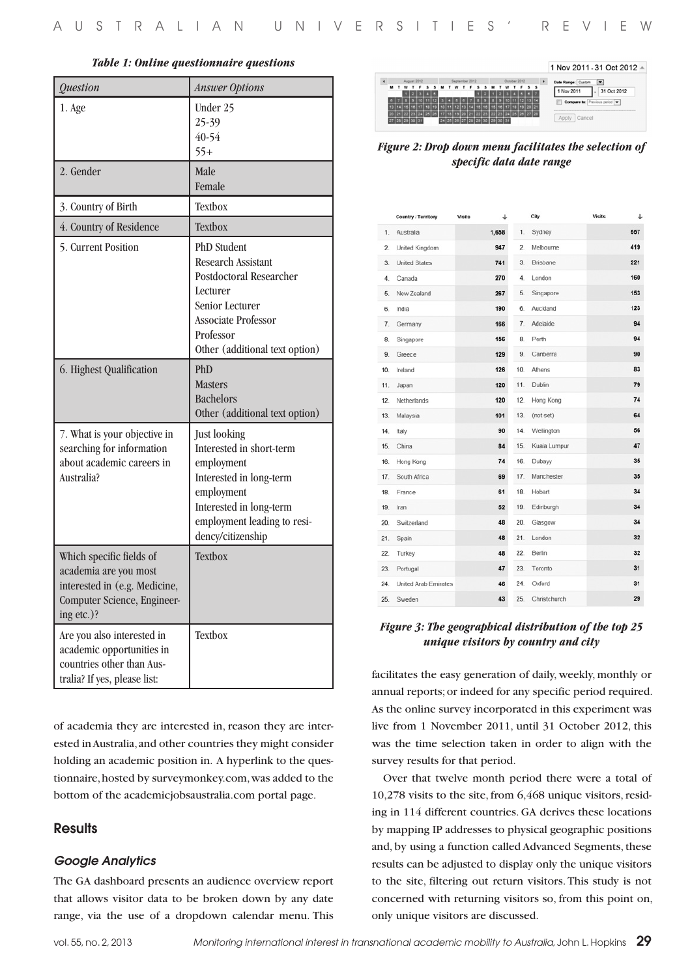| <b>Ouestion</b>                                                                                      | <b>Answer Options</b>                                                                                                                                                           |  |  |
|------------------------------------------------------------------------------------------------------|---------------------------------------------------------------------------------------------------------------------------------------------------------------------------------|--|--|
| 1. Age                                                                                               | Under 25<br>25-39<br>40-54<br>$55+$                                                                                                                                             |  |  |
| 2. Gender                                                                                            | Male<br>Female                                                                                                                                                                  |  |  |
| 3. Country of Birth                                                                                  | Textbox                                                                                                                                                                         |  |  |
| 4. Country of Residence                                                                              | Textbox                                                                                                                                                                         |  |  |
| 5. Current Position                                                                                  | <b>PhD</b> Student<br>Research Assistant<br>Postdoctoral Researcher<br>Lecturer<br>Senior Lecturer<br><b>Associate Professor</b><br>Professor<br>Other (additional text option) |  |  |
| 6. Highest Qualification                                                                             | PhD<br><b>Masters</b><br><b>Bachelors</b><br>Other (additional text option)                                                                                                     |  |  |
| 7. What is your objective in<br>searching for information<br>about academic careers in<br>Australia? | Just looking<br>Interested in short-term<br>employment<br>Interested in long-term<br>employment<br>Interested in long-term<br>employment leading to resi-<br>dency/citizenship  |  |  |



*Figure 2: Drop down menu facilitates the selection of specific data date range*

|     | Country / Territory         | <b>Visits</b> | ↓     |                | City         | <b>Visits</b> | ↵   |
|-----|-----------------------------|---------------|-------|----------------|--------------|---------------|-----|
| 1.  | Australia                   |               | 1,658 | 1.             | Sydney       |               | 557 |
| 2.  | United Kingdom              |               | 947   | $\overline{2}$ | Melbourne    |               | 419 |
| 3.  | <b>United States</b>        |               | 741   | 3.             | Brisbane     |               | 221 |
| 4.  | Canada                      |               | 270   | 4.             | London       |               | 160 |
| 5.  | New Zealand                 |               | 267   | 5.             | Singapore    |               | 153 |
| 6.  | India                       |               | 190   | 6.             | Auckland     |               | 123 |
| 7.  | Germany                     |               | 166   | 7.             | Adelaide     |               | 94  |
| 8.  | Singapore                   |               | 156   | 8.             | Perth        |               | 94  |
| 9.  | Greece                      |               | 129   | 9.             | Canberra     |               | 90  |
| 10. | Ireland                     |               | 126   | 10.            | Athens       |               | 83  |
| 11. | Japan                       |               | 120   | 11.            | Dublin       |               | 79  |
| 12. | Netherlands                 |               | 120   | 12.            | Hong Kong    |               | 74  |
| 13. | Malaysia                    |               | 101   | 13.            | (not set)    |               | 64  |
| 14. | Italy                       |               | 90    | 14.            | Wellington   |               | 56  |
| 15. | China                       |               | 84    | 15.            | Kuala Lumpur |               | 47  |
| 16. | Hong Kong                   |               | 74    | 16.            | Dubayy       |               | 35  |
| 17. | South Africa                |               | 69    | 17.            | Manchester   |               | 35  |
| 18. | France                      |               | 61    | 18.            | Hobart       |               | 34  |
| 19. | Iran                        |               | 52    | 19.            | Edinburgh    |               | 34  |
| 20. | Switzerland                 |               | 48    | 20.            | Glasgow      |               | 34  |
| 21. | Spain                       |               | 48    | 21.            | London       |               | 32  |
| 22. | Turkey                      |               | 48    | 22.            | Berlin       |               | 32  |
| 23. | Portugal                    |               | 47    | 23.            | Toronto      |               | 31  |
| 24. | <b>United Arab Emirates</b> |               | 46    | 24.            | Oxford       |               | 31  |
| 25. | Sweden                      |               | 43    | 25.            | Christchurch |               | 29  |

#### *Figure 3: The geographical distribution of the top 25 unique visitors by country and city*

facilitates the easy generation of daily, weekly, monthly or annual reports; or indeed for any specific period required. As the online survey incorporated in this experiment was live from 1 November 2011, until 31 October 2012, this was the time selection taken in order to align with the survey results for that period.

Over that twelve month period there were a total of 10,278 visits to the site, from 6,468 unique visitors, residing in 114 different countries. GA derives these locations by mapping IP addresses to physical geographic positions and, by using a function called Advanced Segments, these results can be adjusted to display only the unique visitors to the site, filtering out return visitors. This study is not concerned with returning visitors so, from this point on, only unique visitors are discussed.

## **Results**

#### *Google Analytics*

academia are you most interested in (e.g. Medicine, Computer Science, Engineer-

Are you also interested in academic opportunities in countries other than Australia? If yes, please list:

ing etc.)?

The GA dashboard presents an audience overview report that allows visitor data to be broken down by any date range, via the use of a dropdown calendar menu. This

of academia they are interested in, reason they are interested in Australia, and other countries they might consider holding an academic position in. A hyperlink to the questionnaire, hosted by surveymonkey.com, was added to the bottom of the academicjobsaustralia.com portal page.

Textbox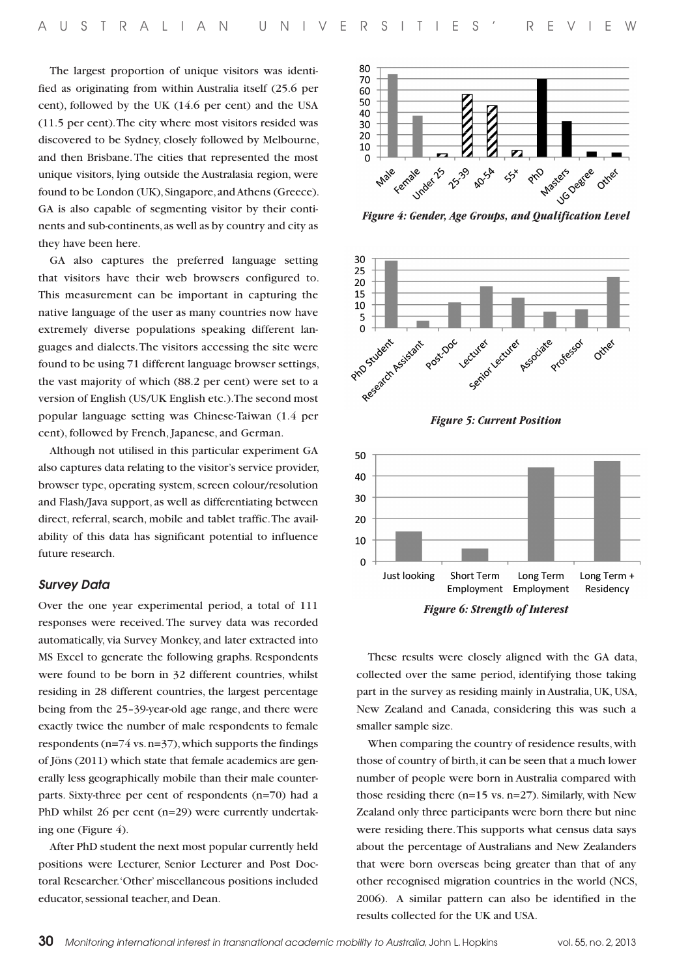The largest proportion of unique visitors was identified as originating from within Australia itself (25.6 per cent), followed by the UK (14.6 per cent) and the USA (11.5 per cent). The city where most visitors resided was discovered to be Sydney, closely followed by Melbourne, and then Brisbane. The cities that represented the most unique visitors, lying outside the Australasia region, were found to be London (UK), Singapore, and Athens (Greece). GA is also capable of segmenting visitor by their continents and sub-continents, as well as by country and city as they have been here.

GA also captures the preferred language setting that visitors have their web browsers configured to. This measurement can be important in capturing the native language of the user as many countries now have extremely diverse populations speaking different languages and dialects. The visitors accessing the site were found to be using 71 different language browser settings, the vast majority of which (88.2 per cent) were set to a version of English (US/UK English etc.). The second most popular language setting was Chinese-Taiwan (1.4 per cent), followed by French, Japanese, and German.

Although not utilised in this particular experiment GA also captures data relating to the visitor's service provider, browser type, operating system, screen colour/resolution and Flash/Java support, as well as differentiating between direct, referral, search, mobile and tablet traffic. The availability of this data has significant potential to influence future research.

#### *Survey Data*

Over the one year experimental period, a total of 111 responses were received. The survey data was recorded automatically, via Survey Monkey, and later extracted into MS Excel to generate the following graphs. Respondents were found to be born in 32 different countries, whilst residing in 28 different countries, the largest percentage being from the 25–39-year-old age range, and there were exactly twice the number of male respondents to female respondents (n=74 vs. n=37), which supports the findings of Jöns (2011) which state that female academics are generally less geographically mobile than their male counterparts. Sixty-three per cent of respondents (n=70) had a PhD whilst 26 per cent (n=29) were currently undertaking one (Figure 4).

After PhD student the next most popular currently held positions were Lecturer, Senior Lecturer and Post Doctoral Researcher. 'Other' miscellaneous positions included educator, sessional teacher, and Dean.





*Figure 6: Strength of Interest*

These results were closely aligned with the GA data, collected over the same period, identifying those taking part in the survey as residing mainly in Australia, UK, USA, New Zealand and Canada, considering this was such a smaller sample size.

When comparing the country of residence results, with those of country of birth, it can be seen that a much lower number of people were born in Australia compared with those residing there (n=15 vs. n=27). Similarly, with New Zealand only three participants were born there but nine were residing there. This supports what census data says about the percentage of Australians and New Zealanders that were born overseas being greater than that of any other recognised migration countries in the world (NCS, 2006). A similar pattern can also be identified in the results collected for the UK and USA.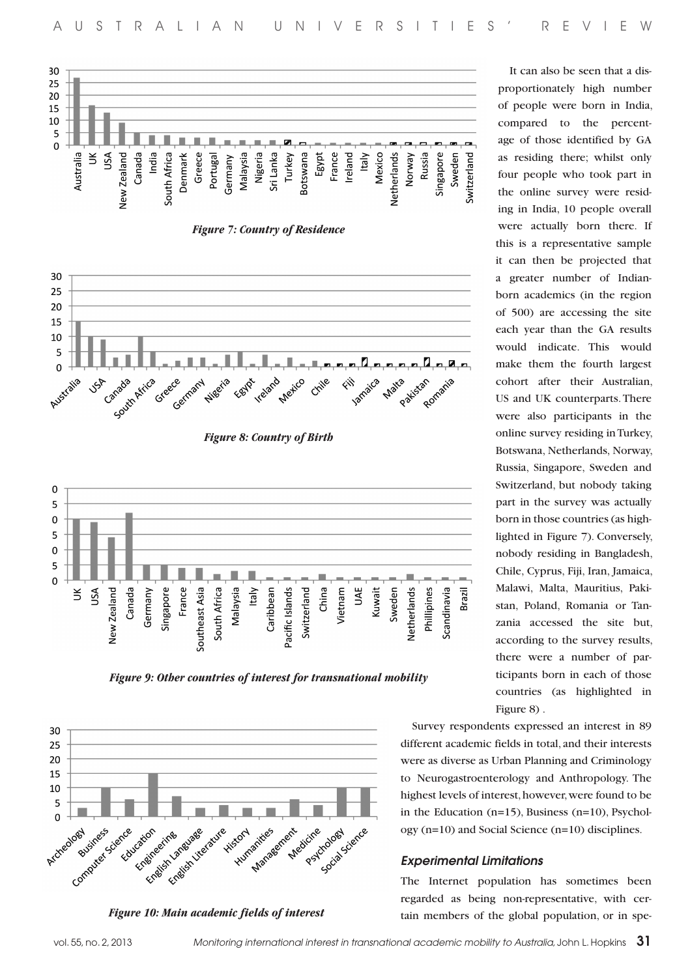

*Figure 7: Country of Residence*



*Figure 8: Country of Birth*



*Figure 9: Other countries of interest for transnational mobility*



*Figure 10: Main academic fields of interest*

It can also be seen that a disproportionately high number of people were born in India, compared to the percentage of those identified by GA as residing there; whilst only four people who took part in the online survey were residing in India, 10 people overall were actually born there. If this is a representative sample it can then be projected that a greater number of Indianborn academics (in the region of 500) are accessing the site each year than the GA results would indicate. This would make them the fourth largest cohort after their Australian, US and UK counterparts. There were also participants in the online survey residing in Turkey, Botswana, Netherlands, Norway, Russia, Singapore, Sweden and Switzerland, but nobody taking part in the survey was actually born in those countries (as highlighted in Figure 7). Conversely, nobody residing in Bangladesh, Chile, Cyprus, Fiji, Iran, Jamaica, Malawi, Malta, Mauritius, Pakistan, Poland, Romania or Tanzania accessed the site but, according to the survey results, there were a number of participants born in each of those countries (as highlighted in Figure 8) .

Survey respondents expressed an interest in 89 different academic fields in total, and their interests were as diverse as Urban Planning and Criminology to Neurogastroenterology and Anthropology. The highest levels of interest, however, were found to be in the Education  $(n=15)$ , Business  $(n=10)$ , Psychology (n=10) and Social Science (n=10) disciplines.

#### *Experimental Limitations*

The Internet population has sometimes been regarded as being non-representative, with certain members of the global population, or in spe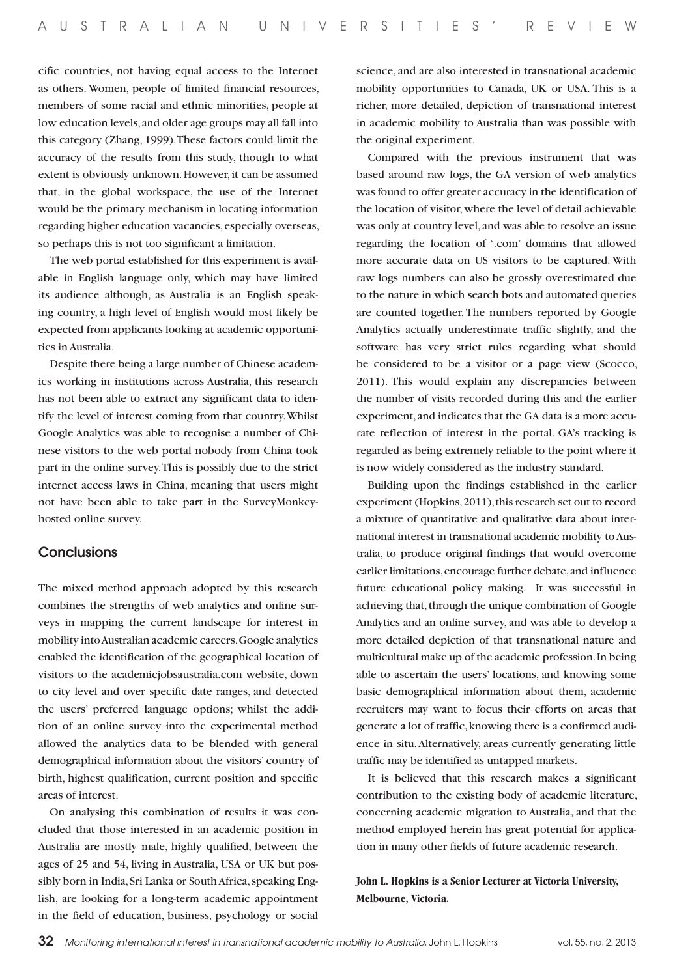cific countries, not having equal access to the Internet as others. Women, people of limited financial resources, members of some racial and ethnic minorities, people at low education levels, and older age groups may all fall into this category (Zhang, 1999). These factors could limit the accuracy of the results from this study, though to what extent is obviously unknown. However, it can be assumed that, in the global workspace, the use of the Internet would be the primary mechanism in locating information regarding higher education vacancies, especially overseas, so perhaps this is not too significant a limitation.

The web portal established for this experiment is available in English language only, which may have limited its audience although, as Australia is an English speaking country, a high level of English would most likely be expected from applicants looking at academic opportunities in Australia.

Despite there being a large number of Chinese academics working in institutions across Australia, this research has not been able to extract any significant data to identify the level of interest coming from that country. Whilst Google Analytics was able to recognise a number of Chinese visitors to the web portal nobody from China took part in the online survey. This is possibly due to the strict internet access laws in China, meaning that users might not have been able to take part in the SurveyMonkeyhosted online survey.

## **Conclusions**

The mixed method approach adopted by this research combines the strengths of web analytics and online surveys in mapping the current landscape for interest in mobility into Australian academic careers. Google analytics enabled the identification of the geographical location of visitors to the academicjobsaustralia.com website, down to city level and over specific date ranges, and detected the users' preferred language options; whilst the addition of an online survey into the experimental method allowed the analytics data to be blended with general demographical information about the visitors' country of birth, highest qualification, current position and specific areas of interest.

On analysing this combination of results it was concluded that those interested in an academic position in Australia are mostly male, highly qualified, between the ages of 25 and 54, living in Australia, USA or UK but possibly born in India, Sri Lanka or South Africa, speaking English, are looking for a long-term academic appointment in the field of education, business, psychology or social

science, and are also interested in transnational academic mobility opportunities to Canada, UK or USA. This is a richer, more detailed, depiction of transnational interest in academic mobility to Australia than was possible with the original experiment.

Compared with the previous instrument that was based around raw logs, the GA version of web analytics was found to offer greater accuracy in the identification of the location of visitor, where the level of detail achievable was only at country level, and was able to resolve an issue regarding the location of '.com' domains that allowed more accurate data on US visitors to be captured. With raw logs numbers can also be grossly overestimated due to the nature in which search bots and automated queries are counted together. The numbers reported by Google Analytics actually underestimate traffic slightly, and the software has very strict rules regarding what should be considered to be a visitor or a page view (Scocco, 2011). This would explain any discrepancies between the number of visits recorded during this and the earlier experiment, and indicates that the GA data is a more accurate reflection of interest in the portal. GA's tracking is regarded as being extremely reliable to the point where it is now widely considered as the industry standard.

Building upon the findings established in the earlier experiment (Hopkins, 2011), this research set out to record a mixture of quantitative and qualitative data about international interest in transnational academic mobility to Australia, to produce original findings that would overcome earlier limitations, encourage further debate, and influence future educational policy making. It was successful in achieving that, through the unique combination of Google Analytics and an online survey, and was able to develop a more detailed depiction of that transnational nature and multicultural make up of the academic profession. In being able to ascertain the users' locations, and knowing some basic demographical information about them, academic recruiters may want to focus their efforts on areas that generate a lot of traffic, knowing there is a confirmed audience in situ. Alternatively, areas currently generating little traffic may be identified as untapped markets.

It is believed that this research makes a significant contribution to the existing body of academic literature, concerning academic migration to Australia, and that the method employed herein has great potential for application in many other fields of future academic research.

**John L. Hopkins is a Senior Lecturer at Victoria University, Melbourne, Victoria.**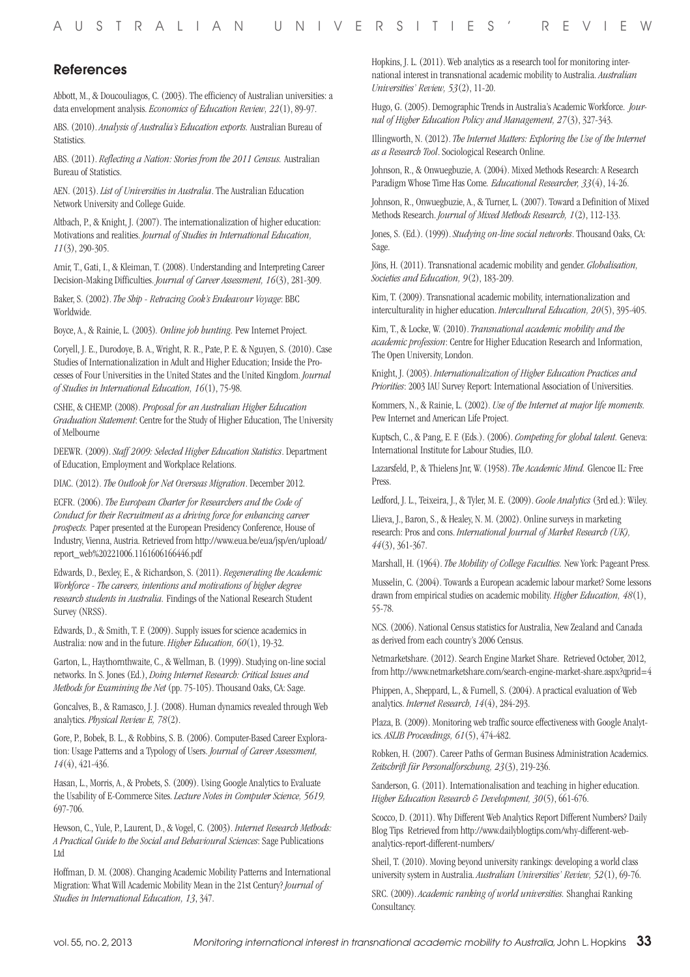## References

Abbott, M., & Doucouliagos, C. (2003). The efficiency of Australian universities: a data envelopment analysis. *Economics of Education Review, 22*(1), 89-97.

ABS. (2010). *Analysis of Australia's Education exports.* Australian Bureau of Statistics.

ABS. (2011). *Reflecting a Nation: Stories from the 2011 Census.* Australian Bureau of Statistics.

AEN. (2013). *List of Universities in Australia*. The Australian Education Network University and College Guide.

Altbach, P., & Knight, J. (2007). The internationalization of higher education: Motivations and realities. *Journal of Studies in International Education, 11*(3), 290-305.

Amir, T., Gati, I., & Kleiman, T. (2008). Understanding and Interpreting Career Decision-Making Difficulties. *Journal of Career Assessment, 16*(3), 281-309.

Baker, S. (2002). *The Ship - Retracing Cook's Endeavour Voyage*: BBC Worldwide.

Boyce, A., & Rainie, L. (2003)*. Online job hunting.* Pew Internet Project.

Coryell, J. E., Durodoye, B. A., Wright, R. R., Pate, P. E. & Nguyen, S. (2010). Case Studies of Internationalization in Adult and Higher Education; Inside the Processes of Four Universities in the United States and the United Kingdom. *Journal of Studies in International Education, 16*(1), 75-98.

CSHE, & CHEMP. (2008). *Proposal for an Australian Higher Education Graduation Statement*: Centre for the Study of Higher Education, The University of Melbourne

DEEWR. (2009). *Staff 2009: Selected Higher Education Statistics*. Department of Education, Employment and Workplace Relations.

DIAC. (2012). *The Outlook for Net Overseas Migration*. December 2012.

ECFR. (2006). *The European Charter for Researchers and the Code of Conduct for their Recruitment as a driving force for enhancing career prospects.* Paper presented at the European Presidency Conference, House of Industry, Vienna, Austria. Retrieved from http://www.eua.be/eua/jsp/en/upload/ report\_web%20221006.1161606166446.pdf

Edwards, D., Bexley, E., & Richardson, S. (2011). *Regenerating the Academic Workforce - The careers, intentions and motivations of higher degree research students in Australia.* Findings of the National Research Student Survey (NRSS).

Edwards, D., & Smith, T. F. (2009). Supply issues for science academics in Australia: now and in the future. *Higher Education, 60*(1), 19-32.

Garton, L., Haythornthwaite, C., & Wellman, B. (1999). Studying on-line social networks. In S. Jones (Ed.), *Doing Internet Research: Critical Issues and Methods for Examining the Net* (pp. 75-105). Thousand Oaks, CA: Sage.

Goncalves, B., & Ramasco, J. J. (2008). Human dynamics revealed through Web analytics. *Physical Review E, 78*(2).

Gore, P., Bobek, B. L., & Robbins, S. B. (2006). Computer-Based Career Exploration: Usage Patterns and a Typology of Users. *Journal of Career Assessment, 14*(4), 421-436.

Hasan, L., Morris, A., & Probets, S. (2009). Using Google Analytics to Evaluate the Usability of E-Commerce Sites. *Lecture Notes in Computer Science, 5619,* 697-706.

Hewson, C., Yule, P., Laurent, D., & Vogel, C. (2003). *Internet Research Methods: A Practical Guide to the Social and Behavioural Sciences*: Sage Publications Ltd

Hoffman, D. M. (2008). Changing Academic Mobility Patterns and International Migration: What Will Academic Mobility Mean in the 21st Century? *Journal of Studies in International Education, 13*, 347.

Hopkins, J. L. (2011). Web analytics as a research tool for monitoring international interest in transnational academic mobility to Australia. *Australian Universities' Review, 53*(2), 11-20.

Hugo, G. (2005). Demographic Trends in Australia's Academic Workforce. *Journal of Higher Education Policy and Management, 27*(3), 327-343.

Illingworth, N. (2012). *The Internet Matters: Exploring the Use of the Internet as a Research Tool*. Sociological Research Online.

Johnson, R., & Onwuegbuzie, A. (2004). Mixed Methods Research: A Research Paradigm Whose Time Has Come*. Educational Researcher, 33*(4), 14-26.

Johnson, R., Onwuegbuzie, A., & Turner, L. (2007). Toward a Definition of Mixed Methods Research. *Journal of Mixed Methods Research, 1*(2), 112-133.

Jones, S. (Ed.). (1999). *Studying on-line social networks*. Thousand Oaks, CA: Sage.

Jöns, H. (2011). Transnational academic mobility and gender. *Globalisation, Societies and Education, 9*(2), 183-209.

Kim, T. (2009). Transnational academic mobility, internationalization and interculturality in higher education. *Intercultural Education, 20*(5), 395-405.

Kim, T., & Locke, W. (2010). *Transnational academic mobility and the academic profession*: Centre for Higher Education Research and Information, The Open University, London.

Knight, J. (2003). *Internationalization of Higher Education Practices and Priorities*: 2003 IAU Survey Report: International Association of Universities.

Kommers, N., & Rainie, L. (2002). *Use of the Internet at major life moments.*  Pew Internet and American Life Project.

Kuptsch, C., & Pang, E. F. (Eds.). (2006). *Competing for global talent.* Geneva: International Institute for Labour Studies, ILO.

Lazarsfeld, P., & Thielens Jnr, W. (1958). *The Academic Mind.* Glencoe IL: Free Press.

Ledford, J. L., Teixeira, J., & Tyler, M. E. (2009). *Goole Analytics* (3rd ed.): Wiley.

Llieva, J., Baron, S., & Healey, N. M. (2002). Online surveys in marketing research: Pros and cons. *International Journal of Market Research (UK), 44*(3), 361-367.

Marshall, H. (1964). *The Mobility of College Faculties.* New York: Pageant Press.

Musselin, C. (2004). Towards a European academic labour market? Some lessons drawn from empirical studies on academic mobility. *Higher Education, 48*(1), 55-78.

NCS. (2006). National Census statistics for Australia, New Zealand and Canada as derived from each country's 2006 Census.

Netmarketshare. (2012). Search Engine Market Share. Retrieved October, 2012, from http://www.netmarketshare.com/search-engine-market-share.aspx?qprid=4

Phippen, A., Sheppard, L., & Furnell, S. (2004). A practical evaluation of Web analytics. *Internet Research, 14*(4), 284-293.

Plaza, B. (2009). Monitoring web traffic source effectiveness with Google Analytics. *ASLIB Proceedings, 61*(5), 474-482.

Robken, H. (2007). Career Paths of German Business Administration Academics. *Zeitschrift für Personalforschung, 23*(3), 219-236.

Sanderson, G. (2011). Internationalisation and teaching in higher education. *Higher Education Research & Development, 30*(5), 661-676.

Scocco, D. (2011). Why Different Web Analytics Report Different Numbers? Daily Blog Tips Retrieved from http://www.dailyblogtips.com/why-different-webanalytics-report-different-numbers/

Sheil, T. (2010). Moving beyond university rankings: developing a world class university system in Australia. *Australian Universities' Review, 52*(1), 69-76.

SRC. (2009). *Academic ranking of world universities.* Shanghai Ranking Consultancy.